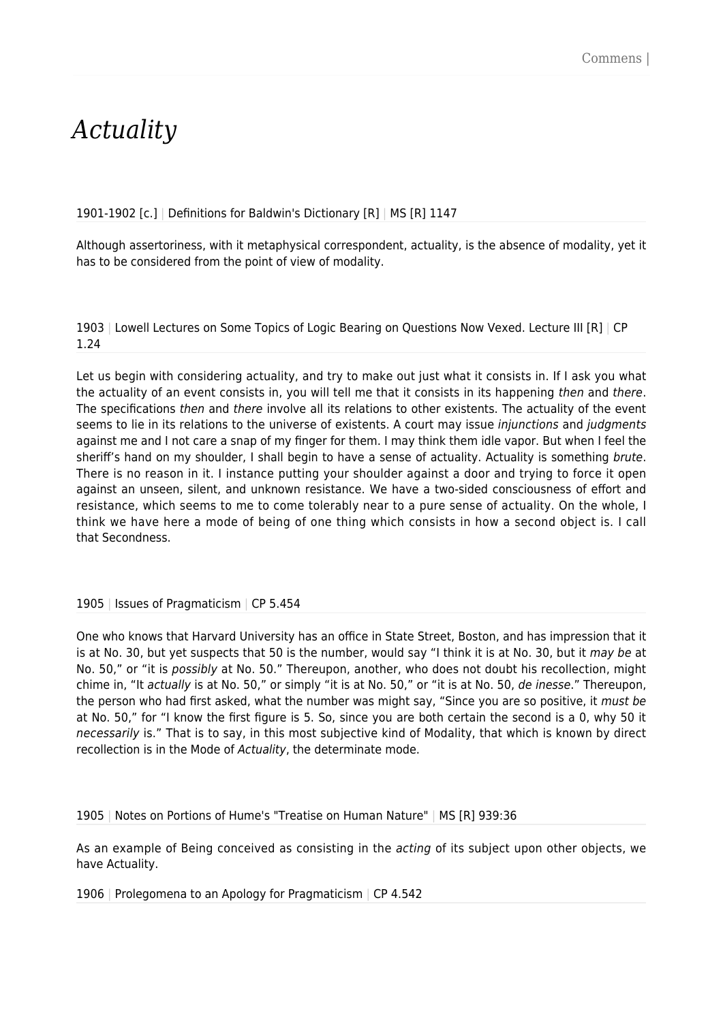## *Actuality*

1901-1902 [c.] | Definitions for Baldwin's Dictionary [R] | MS [R] 1147

Although assertoriness, with it metaphysical correspondent, actuality, is the absence of modality, yet it has to be considered from the point of view of modality.

1903 | Lowell Lectures on Some Topics of Logic Bearing on Questions Now Vexed. Lecture III [R] | CP 1.24

Let us begin with considering actuality, and try to make out just what it consists in. If I ask you what the actuality of an event consists in, you will tell me that it consists in its happening then and there. The specifications then and there involve all its relations to other existents. The actuality of the event seems to lie in its relations to the universe of existents. A court may issue *injunctions* and *judgments* against me and I not care a snap of my finger for them. I may think them idle vapor. But when I feel the sheriff's hand on my shoulder, I shall begin to have a sense of actuality. Actuality is something brute. There is no reason in it. I instance putting your shoulder against a door and trying to force it open against an unseen, silent, and unknown resistance. We have a two-sided consciousness of effort and resistance, which seems to me to come tolerably near to a pure sense of actuality. On the whole, I think we have here a mode of being of one thing which consists in how a second object is. I call that Secondness.

1905 | Issues of Pragmaticism | CP 5.454

One who knows that Harvard University has an office in State Street, Boston, and has impression that it is at No. 30, but yet suspects that 50 is the number, would say "I think it is at No. 30, but it may be at No. 50," or "it is possibly at No. 50." Thereupon, another, who does not doubt his recollection, might chime in, "It actually is at No. 50," or simply "it is at No. 50," or "it is at No. 50, de inesse." Thereupon, the person who had first asked, what the number was might say, "Since you are so positive, it must be at No. 50," for "I know the first figure is 5. So, since you are both certain the second is a 0, why 50 it necessarily is." That is to say, in this most subjective kind of Modality, that which is known by direct recollection is in the Mode of Actuality, the determinate mode.

1905 | Notes on Portions of Hume's "Treatise on Human Nature" | MS [R] 939:36

As an example of Being conceived as consisting in the *acting* of its subject upon other objects, we have Actuality.

1906 | Prolegomena to an Apology for Pragmaticism | CP 4.542